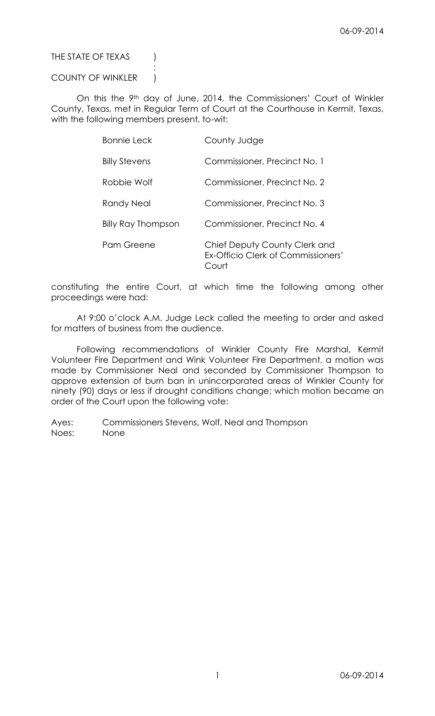THE STATE OF TEXAS (

# COUNTY OF WINKLER )

:

On this the 9th day of June, 2014, the Commissioners' Court of Winkler County, Texas, met in Regular Term of Court at the Courthouse in Kermit, Texas, with the following members present, to-wit:

| <b>Bonnie Leck</b>        | County Judge                                                                |
|---------------------------|-----------------------------------------------------------------------------|
| <b>Billy Stevens</b>      | Commissioner, Precinct No. 1                                                |
| Robbie Wolf               | Commissioner, Precinct No. 2                                                |
| <b>Randy Neal</b>         | Commissioner, Precinct No. 3                                                |
| <b>Billy Ray Thompson</b> | Commissioner, Precinct No. 4                                                |
| Pam Greene                | Chief Deputy County Clerk and<br>Ex-Officio Clerk of Commissioners'<br>ourt |

constituting the entire Court, at which time the following among other proceedings were had:

At 9:00 o'clock A.M. Judge Leck called the meeting to order and asked for matters of business from the audience.

Following recommendations of Winkler County Fire Marshal, Kermit Volunteer Fire Department and Wink Volunteer Fire Department, a motion was made by Commissioner Neal and seconded by Commissioner Thompson to approve extension of burn ban in unincorporated areas of Winkler County for ninety (90) days or less if drought conditions change; which motion became an order of the Court upon the following vote:

Ayes: Commissioners Stevens, Wolf, Neal and Thompson Noes: None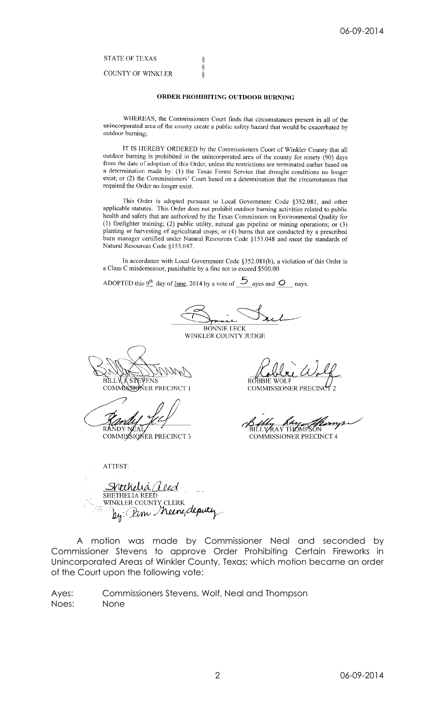# **STATE OF TEXAS**

**COUNTY OF WINKLER** 

### ORDER PROHIBITING OUTDOOR BURNING

ş  $\S$ 

 $\delta$ 

WHEREAS, the Commissioners Court finds that circumstances present in all of the unincorporated area of the county create a public safety hazard that would be exacerbated by outdoor burning;

IT IS HEREBY ORDERED by the Commissioners Court of Winkler County that all outdoor burning is prohibited in the unincorporated area of the county for ninety (90) days from the date of adoption of this Order, unless the restrictions are terminated carlier based on a determination made by: (1) the Texas Forest Scrvice that drought conditions no longer exist; or (2) the Commissioners' Court based on a determination that the circumstances that required the Order no longer exist.

This Order is adopted pursuant to Local Government Code §352.081, and other applicable statutes. This Order does not prohibit outdoor burning activities related to public health and safety that are authorized by the Texas Commission on Environmental Quality for (1) firefighter training; (2) public utility, natural gas pipeline or mining operations; or (3) planting or harvesting of agricultural crops; or (4) burns that are conducted by a prescribed burn manager certified under Natural Resources Code §153.048 and meet the standards of Natural Resources Code §153.047.

In accordance with Local Government Code §352.081(h), a violation of this Order is a Class C misdemeanor, punishable by a fine not to exceed \$500.00.

ADOPTED this  $9^{\text{th}}$  day of <u>June</u>, 2014 by a vote of  $5$  ayes and  $\circ$  nays.

**BONNIE LECK** 

WINKLER COUNTY JUDGE

**BILLY J STEVENS** COMMSSIONER PRECINCT I

COMMISSIONER PRECINCT 3

ATTEST:

ROBBIE WOL

**COMMISSIONER PRECIN** 

**COMMISSIONER PRECINCT 4** 

Shtthelia (leed SHETHELIA REED WINKLER COUNTY CLERK<br>WINKLER COUNTY CLERK<br>Ug: Dim Meine, deputy

A motion was made by Commissioner Neal and seconded by Commissioner Stevens to approve Order Prohibiting Certain Fireworks in Unincorporated Areas of Winkler County, Texas; which motion became an order of the Court upon the following vote:

Commissioners Stevens, Wolf, Neal and Thompson Ayes: Noes: None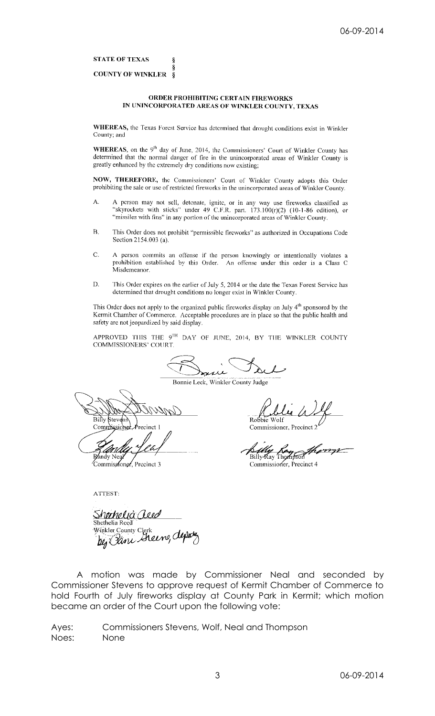**STATE OF TEXAS** 

#### **COUNTY OF WINKLER** <sup>8</sup>

Ś Ş

### ORDER PROHIBITING CERTAIN FIREWORKS IN UNINCORPORATED AREAS OF WINKLER COUNTY, TEXAS

WHEREAS, the Texas Forest Service has determined that drought conditions exist in Winkler County; and

WHEREAS, on the 9<sup>th</sup> day of June, 2014, the Commissioners' Court of Winkler County has determined that the normal danger of fire in the unincorporated areas of Winkler County is greatly enhanced by the extremely dry conditions now existing;

NOW, THEREFORE, the Commissioners' Court of Winkler County adopts this Order prohibiting the sale or use of restricted fireworks in the unincorporated areas of Winkler County.

- A person may not sell, detonate, ignite, or in any way use fireworks classified as "skyrockets with sticks" under 49 C.F.R. part. 173.100(r)(2) (10-1-86 edition), or А. "missiles with fins" in any portion of the unincorporated areas of Winkler County.
- $\overline{B}$ . This Order does not prohibit "permissible fireworks" as authorized in Occupations Code Section 2154.003 (a).
- C. A person commits an offense if the person knowingly or intentionally violates a prohibition established by this Order. An offense under this order is a Class C Misdemeanor.
- D. This Order expires on the earlier of July 5, 2014 or the date the Texas Forest Service has determined that drought conditions no longer exist in Winkler County.

This Order does not apply to the organized public fireworks display on July 4<sup>th</sup> sponsored by the Kermit Chamber of Commerce. Acceptable procedures are in place so that the public health and safety are not jeopardized by said display.

APPROVED THIS THE 9TH DAY OF JUNE, 2014, BY THE WINKLER COUNTY COMMISSIONERS' COURT.

Bonnie Leck, Winkler County Judge

Billy Stev Commission

Randy Nea Commissioner, Precinct 3

Robbie Commissioner, P.

Billy Ray Thompson

Commissioner, Precinct 4

ATTEST:

<u>Shorhelia Aleo</u> Shethelia Reed Winkler County Clerk<br>by Pane Sheers, depoty

A motion was made by Commissioner Neal and seconded by Commissioner Stevens to approve request of Kermit Chamber of Commerce to hold Fourth of July fireworks display at County Park in Kermit; which motion became an order of the Court upon the following vote:

Commissioners Stevens, Wolf, Neal and Thompson Ayes: Noes: None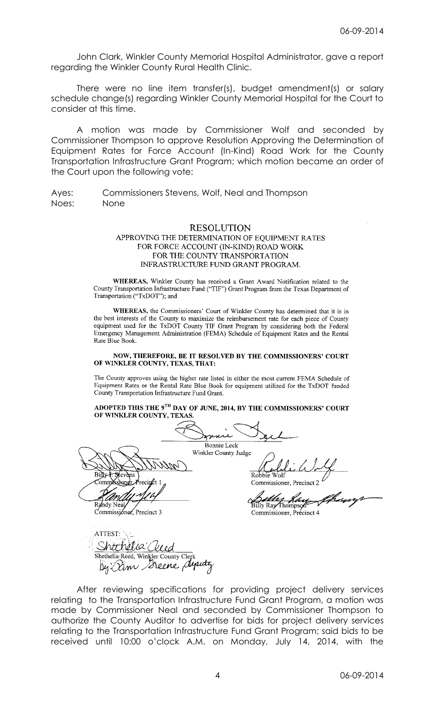John Clark, Winkler County Memorial Hospital Administrator, gave a report regarding the Winkler County Rural Health Clinic.

There were no line item transfer(s), budget amendment(s) or salary schedule change(s) regarding Winkler County Memorial Hospital for the Court to consider at this time.

A motion was made by Commissioner Wolf and seconded by Commissioner Thompson to approve Resolution Approving the Determination of Equipment Rates for Force Account (In-Kind) Road Work for the County Transportation Infrastructure Grant Program; which motion became an order of the Court upon the following vote:

Ayes: Commissioners Stevens, Wolf, Neal and Thompson Noes: None

# **RESOLUTION** APPROVING THE DETERMINATION OF EQUIPMENT RATES FOR FORCE ACCOUNT (IN-KIND) ROAD WORK FOR THE COUNTY TRANSPORTATION INFRASTRUCTURE FUND GRANT PROGRAM.

WHEREAS, Winkler County has received a Grant Award Notification related to the County Transportation Infrastructure Fund ("TIF") Grant Program from the Texas Department of Transportation ("TxDOT"); and

WHEREAS, the Commissioners' Court of Winkler County has determined that it is in the best interests of the County to maximize the reimbursement rate for each piece of County equipment used for the TxDOT County TIF Grant Program by considering both the Federal Emergency Management Administration (FEMA) Schedule of Equipment Rates and the Rental Rate Blue Book.

#### NOW, THEREFORE, BE IT RESOLVED BY THE COMMISSIONERS' COURT OF WINKLER COUNTY, TEXAS, THAT:

The County approves using the higher rate listed in either the most current FEMA Schedule of Equipment Rates or the Rental Rate Blue Book for equipment utilized for the TxDOT funded County Transportation Infrastructure Fund Grant.

### ADOPTED THIS THE 9TH DAY OF JUNE, 2014, BY THE COMMISSIONERS' COURT OF WINKLER COUNTY, TEXAS.

. . . . . Bonnie Leck Winkler County Judge Billy Robbie CommXsstonei Commissioner, Precinct 2 Randy Neal Billy Ray Thomps Commissioner, Precinct 3 Commissioner, Précinct 4 ATTEST: Shtthetia Qud Shethelia Reed, Winkler County Clerk By Dim Seene deputy

After reviewing specifications for providing project delivery services relating to the Transportation Infrastructure Fund Grant Program, a motion was made by Commissioner Neal and seconded by Commissioner Thompson to authorize the County Auditor to advertise for bids for project delivery services relating to the Transportation Infrastructure Fund Grant Program; said bids to be received until 10:00 o'clock A.M. on Monday, July 14, 2014, with the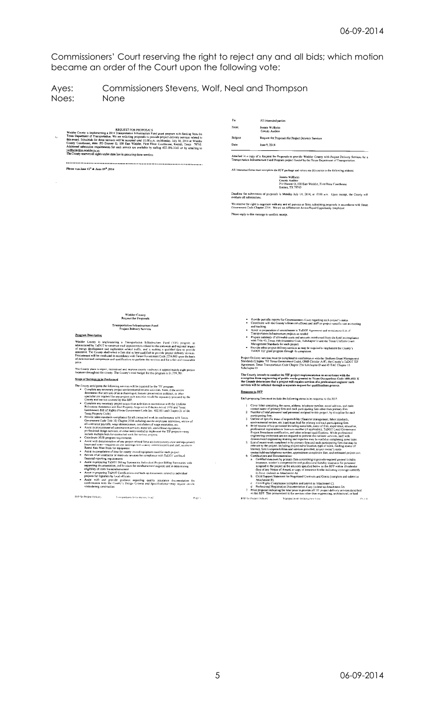Commissioners' Court reserving the right to reject any and all bids; which motion became an order of the Court upon the following vote:

#### Commissioners Stevens, Wolf, Neal and Thompson Ayes: Noes: None

Winder County is implementing a 2014 Transportation (Figure 1907)<br>SALS Tower and grant program with funding from the Texas Department of Transportation. We are evike<br>ting proposals to provide project delivery services rel

Please run June 12\* & June 19\* .2014

 $T_{\rm D}$ All interested parties From: Ieanna Willhelm<br>County Auditor Subicer: Request for Proposals for Project Delivery Services

Date: June 9, 2014

Attached is a copy of a Request for Proposals to provide Winkler County with Project Delivery Services for a<br>Transportation Infrastructure Fund Program project funderly the Texas Department of Transportation.

All interested firms must complete the RFP package and return six (6) copies to the following address: Jeanna Willhelm<br>County Auditor<br>FO Drawer O, 100 East Winkler, First Floor Courthouse<br>Kermit, TX 79745

Deadline for submission of proposals is Monday July 14, 2014, at 10:00 a.m. Upon receipt, the County will<br>evaluate all submissions.

We reserve the right to negotiate with any and all persons or firms submitting proposals in accordance with Texas<br>Government Code Chapter 2254. We are an Affirmative Action/Equal Opportunity Employer. Please reply to this message to confirm receipt.

# Winkler County<br>Request for Proposals

**Transportation Infrastructure Fund<br>Project Delivery Services** 

Program Description

**Example Western Stephensteins** a Transportation. Influentment Exam (TIF) program as Minimized by TaDOT to examine the main stephenstein of the property of the property of the property of the property of the property of t

The County plans to repair, reconstruct and improve county roadways at approximately eight projection<br>locations throughout the county. The County's total budget for this program is \$1,739,785.

Scope of Services to be Performed

- Scope of Services to be Performed<br>
The County anticipates the following services will be required for the TIF program:<br>
Complete any necessary project extremelent there we solutions. Note that the new respective the conte
	-
	-
	-
	-
	-
	-
	-
	-

RFP for Project Delivery Transportation for systems into Fe ad-

 $\sim$  Page  $\lambda$ 

- 
- 
- Provide periodic reports for Commissiones Court regarding each project's status<br>
continue with the Courny's financial officers and staff on project-specific cost accounting<br>
and tracking<br>
and the Courny's financial office
- 

Project Delivery services must be completed in conformance with the Uniform Grant Management<br>Standards (Chapter 783 Texas Government Code), OMB Circular A-87, the County's TxDOT TIF<br>Agreement, Texas Transportedion Code Cha

The County intends to conduct its TIF project implementation in accordance with the state proposed in the conduction of the County of the County of the County of the County of the County of the County of the County determi Response to RFP

Each proposing firm must include the following items in its response to the RFF

- 
- 
- 
- 
- 
- Each proposing firm must include the following rems in its response to the RFP.<br>
1 Cover letter containing the name, address, telephone number, easil address, and main<br>
source can est primary firm and each participating f
	-
	-

**REP for Project I**  $\mathbf{a}$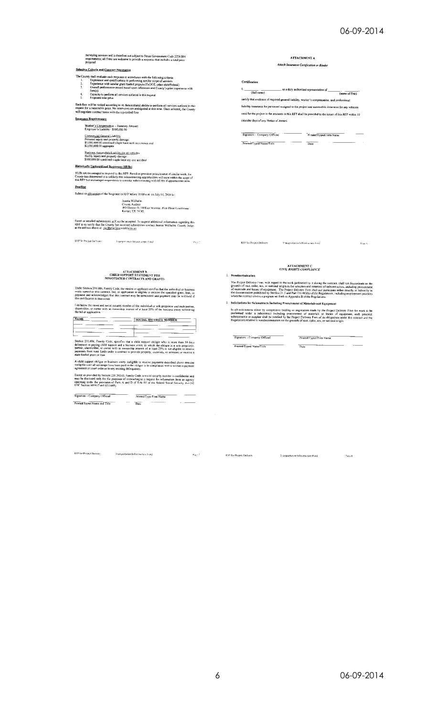| County Auditor                                                                                                                                                                                                                                                                                                   |               | Commercial General Liability<br>Personal injury and property damage:<br>\$1,000,000.00 combined single limit each occurrence and<br>Printed/Typed Name/Title<br>Date<br>\$2,000,000.00 aggregate<br>Business Automobile Liability for all vehicles<br>Budily Injury and property damage:<br>\$500,000.00 combined stagle limit any one accident<br>Historically Underutilized Businesses (HUBs)<br>HUBs are encouraged to respond to this RFP. Based on previous procurement of similar work, the<br>County has determined it is unlikely that subcontracting opportunities will exist within the scope of<br>this RFP but encourages respondents to consider subcontracting with HIJBs if opportunities arise<br><b>Deadline</b><br>Submit six (6) copies of the Response to RFP before 10:00 a.m. on July 14, 2014 to:<br>Jeanna Willhelm | Employer's Liability - \$500,000.00<br>Signature - Company Official<br>Printed Typed Firm Name | Kermit, TX 79745                                                                                                                                                           |                                                                                                     |  |
|------------------------------------------------------------------------------------------------------------------------------------------------------------------------------------------------------------------------------------------------------------------------------------------------------------------|---------------|---------------------------------------------------------------------------------------------------------------------------------------------------------------------------------------------------------------------------------------------------------------------------------------------------------------------------------------------------------------------------------------------------------------------------------------------------------------------------------------------------------------------------------------------------------------------------------------------------------------------------------------------------------------------------------------------------------------------------------------------------------------------------------------------------------------------------------------------|------------------------------------------------------------------------------------------------|----------------------------------------------------------------------------------------------------------------------------------------------------------------------------|-----------------------------------------------------------------------------------------------------|--|
|                                                                                                                                                                                                                                                                                                                  |               |                                                                                                                                                                                                                                                                                                                                                                                                                                                                                                                                                                                                                                                                                                                                                                                                                                             |                                                                                                | PO Drawer O, 100East Winkler, First Floor Courthouse                                                                                                                       |                                                                                                     |  |
|                                                                                                                                                                                                                                                                                                                  |               |                                                                                                                                                                                                                                                                                                                                                                                                                                                                                                                                                                                                                                                                                                                                                                                                                                             |                                                                                                | RFP or to verify that the County has received submissions contact Jeanna Willhelm. County Judge.                                                                           |                                                                                                     |  |
|                                                                                                                                                                                                                                                                                                                  |               |                                                                                                                                                                                                                                                                                                                                                                                                                                                                                                                                                                                                                                                                                                                                                                                                                                             |                                                                                                |                                                                                                                                                                            |                                                                                                     |  |
|                                                                                                                                                                                                                                                                                                                  |               |                                                                                                                                                                                                                                                                                                                                                                                                                                                                                                                                                                                                                                                                                                                                                                                                                                             |                                                                                                | at the address above or jwillbelm@co.winkler.tx.us                                                                                                                         |                                                                                                     |  |
| Faxed or emailed submissions will not be accepted. To request additional information regarding this                                                                                                                                                                                                              |               |                                                                                                                                                                                                                                                                                                                                                                                                                                                                                                                                                                                                                                                                                                                                                                                                                                             |                                                                                                |                                                                                                                                                                            |                                                                                                     |  |
|                                                                                                                                                                                                                                                                                                                  |               |                                                                                                                                                                                                                                                                                                                                                                                                                                                                                                                                                                                                                                                                                                                                                                                                                                             |                                                                                                |                                                                                                                                                                            |                                                                                                     |  |
|                                                                                                                                                                                                                                                                                                                  |               |                                                                                                                                                                                                                                                                                                                                                                                                                                                                                                                                                                                                                                                                                                                                                                                                                                             |                                                                                                | RFP for Project Definery<br>Fransportation Intrase acting Fingel                                                                                                           | RFP for Project Delivery<br>Traisportation lefrastracture Field                                     |  |
| Peer                                                                                                                                                                                                                                                                                                             | <b>Page 4</b> |                                                                                                                                                                                                                                                                                                                                                                                                                                                                                                                                                                                                                                                                                                                                                                                                                                             |                                                                                                |                                                                                                                                                                            |                                                                                                     |  |
|                                                                                                                                                                                                                                                                                                                  |               |                                                                                                                                                                                                                                                                                                                                                                                                                                                                                                                                                                                                                                                                                                                                                                                                                                             |                                                                                                |                                                                                                                                                                            |                                                                                                     |  |
|                                                                                                                                                                                                                                                                                                                  |               |                                                                                                                                                                                                                                                                                                                                                                                                                                                                                                                                                                                                                                                                                                                                                                                                                                             |                                                                                                |                                                                                                                                                                            | <b>ATTACHMENT C</b><br><b>CIVIL RIGHTS COMPLIANCE</b>                                               |  |
|                                                                                                                                                                                                                                                                                                                  |               |                                                                                                                                                                                                                                                                                                                                                                                                                                                                                                                                                                                                                                                                                                                                                                                                                                             |                                                                                                | CHILD SUPPORT STATEMENT FOR                                                                                                                                                | 1. Nondiscrimination                                                                                |  |
| <b>ATTACHMENT B</b>                                                                                                                                                                                                                                                                                              |               |                                                                                                                                                                                                                                                                                                                                                                                                                                                                                                                                                                                                                                                                                                                                                                                                                                             |                                                                                                |                                                                                                                                                                            |                                                                                                     |  |
| NEGOTIATED CONTRACTS AND GRANTS                                                                                                                                                                                                                                                                                  |               |                                                                                                                                                                                                                                                                                                                                                                                                                                                                                                                                                                                                                                                                                                                                                                                                                                             |                                                                                                | this certification is inaccurate.                                                                                                                                          | when the contract covers a program set forth in Appendix B of the Regulations.                      |  |
| Under Section 231.006, Family Code, the vendor or applicant certifies that the andividual or business<br>entity named in this contract, bid, or application is eligible to receive the specified grant, loan, or<br>payment and acknowledges that this contract may be terminated and payment may be withheld if |               | The Project Delivery Firm, with regard to the work performed by it during the contract, shall not discriminate on the<br>grounds of race, color, sex, or national origin in the selection and retention of subcontractors, including procurement<br>of materials and leases of equipment. The Project Delivery Firm shall not participate either directly or indirectly in<br>the discrimination prohibited by Section 21.5 and Part 710.405(b) of the Regulations, including employment practices                                                                                                                                                                                                                                                                                                                                          |                                                                                                |                                                                                                                                                                            | 2. Solicitations for Subcontracts Including Procurement of Materials and Equipment                  |  |
|                                                                                                                                                                                                                                                                                                                  |               |                                                                                                                                                                                                                                                                                                                                                                                                                                                                                                                                                                                                                                                                                                                                                                                                                                             |                                                                                                |                                                                                                                                                                            |                                                                                                     |  |
| I ist below the name and social security number of the individual or sole proprietor and each partner,<br>shareholder, or owner with an ownership interest of at least 25% of the business entity submitting<br>the bid or application.                                                                          |               | In all solicitations either by competitive bidding or negotiation made by the Project Delivery Firm for work to be<br>performed under a subcontract including procurement of materials or leases of equipment, each potential<br>subcontractor or supplier shall be notified by the Project Delivery Firm of its obligations under this contract and the                                                                                                                                                                                                                                                                                                                                                                                                                                                                                    |                                                                                                |                                                                                                                                                                            |                                                                                                     |  |
| calendar days of any Notice of Award.<br>Worker's Compensation - Statutory Amount                                                                                                                                                                                                                                |               |                                                                                                                                                                                                                                                                                                                                                                                                                                                                                                                                                                                                                                                                                                                                                                                                                                             |                                                                                                |                                                                                                                                                                            |                                                                                                     |  |
| <b>Insurance Requirements</b>                                                                                                                                                                                                                                                                                    |               |                                                                                                                                                                                                                                                                                                                                                                                                                                                                                                                                                                                                                                                                                                                                                                                                                                             |                                                                                                |                                                                                                                                                                            | liability insurance for personnel assigned to the project and automobile insurance for any vehicles |  |
| request for a reasonable price. No interviews are anticipated at this time. Once selected, the County<br>will negotiate contract terms with the top-ranked firm                                                                                                                                                  |               | used for the project in the amounts in this RFP shall be provided to the issuer of this RFP within 10                                                                                                                                                                                                                                                                                                                                                                                                                                                                                                                                                                                                                                                                                                                                       |                                                                                                |                                                                                                                                                                            | certify that evidence of required general liability, worker's compensation, and professional        |  |
| Each firm will be ranked according to its demonstrated ability to perform all services outlined in this                                                                                                                                                                                                          |               |                                                                                                                                                                                                                                                                                                                                                                                                                                                                                                                                                                                                                                                                                                                                                                                                                                             |                                                                                                | 4.<br>Capacity to perform all services outlined in this request                                                                                                            | (full name)<br>(name of firm)                                                                       |  |
| s.<br>Proposed total price                                                                                                                                                                                                                                                                                       |               |                                                                                                                                                                                                                                                                                                                                                                                                                                                                                                                                                                                                                                                                                                                                                                                                                                             |                                                                                                | 3.<br>Overall performance record based upon references and County's prior experience with                                                                                  |                                                                                                     |  |
| as a duly authorized representative of<br>$f_{\text{I}}$ $m(s)$                                                                                                                                                                                                                                                  |               |                                                                                                                                                                                                                                                                                                                                                                                                                                                                                                                                                                                                                                                                                                                                                                                                                                             |                                                                                                | т.<br>Experience and qualifications in performing similar scope of services                                                                                                | Certification                                                                                       |  |
| 2.<br>Experience with similar grant funded projects (TxDOT, other state/federal)                                                                                                                                                                                                                                 |               |                                                                                                                                                                                                                                                                                                                                                                                                                                                                                                                                                                                                                                                                                                                                                                                                                                             |                                                                                                |                                                                                                                                                                            |                                                                                                     |  |
| The County shall evaluate each response in accordance with the following criteria:                                                                                                                                                                                                                               |               |                                                                                                                                                                                                                                                                                                                                                                                                                                                                                                                                                                                                                                                                                                                                                                                                                                             |                                                                                                |                                                                                                                                                                            | Attach Insurance Certification or Binder                                                            |  |
| proposal.<br>Selection Criteris and Contract Negotiation                                                                                                                                                                                                                                                         |               |                                                                                                                                                                                                                                                                                                                                                                                                                                                                                                                                                                                                                                                                                                                                                                                                                                             |                                                                                                | surveying services and is therefore not subject to Texas Government Code 2254.004<br>requirements; all firms are welcome to provide a response that includes a total price | <b>ATTACHMENT A</b>                                                                                 |  |

Last before the name and social security number of the individual or sole proprietor and each partner,<br>shareholder, or owner with an ownerskip interest of at least 25% of the bosiness entry submitting<br>the bid or applicatio

Section 231.006; Family Code, specifies that a child support obliger who is more than 30 days delinguent in paying child support and a business entity in which the obliger is a sub-proporter. Supportion, partner, sincerba

A child support obligar or business entity incligible to receive payments described above remains<br>incligible until all arrearage have been paid or the obligor is in compliance with a written repayment<br>agreement or coart or

Except as provided by Section 231.302(*D*). Furnity Code, a social security number is confidential and<br>may be disclosed only for the purposes of responsing to a request for information from an agency<br>operating under the p

 $\begin{tabular}{l|c|c|c|c|c} \hline \multicolumn{3}{c}{Sigation} & \multicolumn{3}{c}{\hline \multicolumn{3}{c}{\textbf{Figure 4-1} time} & \multicolumn{3}{c}{\textbf{Prime} over } $1000$ & $1000$ & $1000$ & $1000$\\ \hline \multicolumn{3}{c}{\textbf{Finite} 27 yield Name and Title} & \multicolumn{3}{c}{\textbf{Time} 1000} & \multicolumn{3}{c}{\textbf{Time} 1000} & \multicolumn{3}{c}{\textbf{Time} 1000} & \multicolumn{3}{c}{\textbf{$  $\sim$   $-$ 

RFP for Project Derivery ... The Transportation Infrastructure Fund

Page 7  $\sqrt{3}$  RFP for Project Delivery

Transportation Infrastructure Fond

 $\frac{1}{2}$  .  $\frac{1}{2}$ 

 $\mathcal{P}_{\text{H}\text{Q}}$ g

 $\begin{tabular}{l|c|c} \hline \textbf{Sequence} - \textbf{Compony Offical} & \textbf{PinttedTyped Firm Name} \\ \hline \textbf{Printed/Typed Ham} & \textbf{Pinted Time} \\ \hline \end{tabular}$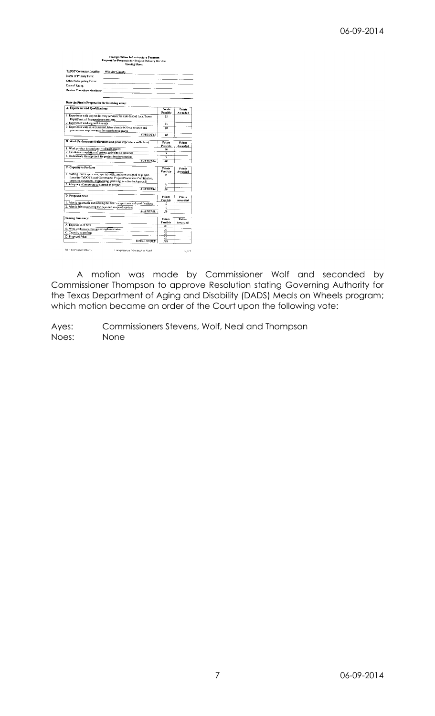| <b>Transportation Infrastructure Program</b><br>Request for Proposals for Project Delivery Services<br><b>Scoring Sheet</b>                     |                    |                   |
|-------------------------------------------------------------------------------------------------------------------------------------------------|--------------------|-------------------|
| TxDOT Contractor Locality:<br>Winkler County                                                                                                    |                    |                   |
| Name of Primary Firm:                                                                                                                           |                    |                   |
| Other Participating Firms:                                                                                                                      |                    |                   |
| Date of Rating:                                                                                                                                 |                    |                   |
| Review Committee Membars:                                                                                                                       |                    |                   |
|                                                                                                                                                 |                    |                   |
| Rate the Firm's Proposal in the following areas:                                                                                                |                    |                   |
| A. Experience and Qualifications                                                                                                                | Points<br>Possible | Points<br>Awarded |
| 1. Experience with project delivery services for state-funded local Texas                                                                       | 15                 |                   |
| Department of Transportation projects.                                                                                                          |                    |                   |
| 2. Experience working with County                                                                                                               | 15                 |                   |
| 3. Experience with environmental, labor standards/force account and<br>procurement requirements for state/federal grants                        | 10                 |                   |
| <b>SUBTOTAL</b>                                                                                                                                 | 40                 |                   |
| B. Work Performance (references and prior experience with firm)                                                                                 | <b>Points</b>      | Points            |
| 1. Work product is consistently of high quality                                                                                                 | Possible           | Awarded           |
| 2. Facilitates completion of project activities on schedule                                                                                     | 10<br>5            |                   |
| 3. Understands the approach for project implementation                                                                                          | 5                  |                   |
| <b>SUBTOTAL</b>                                                                                                                                 | 20                 |                   |
| C. Capacity to Perform                                                                                                                          | Points             | Points            |
|                                                                                                                                                 | Possible           | Awarded           |
| 1 Staffing level/experience, special skills, and type assigned to project<br>(consider TxDOT Local Government Project Procedures Certification, | 15                 |                   |
| project management, engineering, planning, or other background)                                                                                 |                    |                   |
| 2. Adequacy of resources to commit to project                                                                                                   |                    |                   |
| <b>SUBTOTAL</b>                                                                                                                                 | žö                 |                   |
| D. Proposed Price                                                                                                                               |                    |                   |
|                                                                                                                                                 | Points<br>Pussible | Points<br>Awarden |
| 1. Price is reasonable considering the firm's experience and qualifications                                                                     | 10                 |                   |
| 2. Price is fair considering the expected scope of services                                                                                     | 10                 |                   |
| <b>SUBTOTAL</b>                                                                                                                                 | 20                 |                   |
| Scoring Summary:                                                                                                                                | Points             | Points            |
|                                                                                                                                                 | Possible           | Awarded           |
| A. Experience of firm                                                                                                                           | 40                 |                   |
| B. Work performance/program implementation                                                                                                      | 20                 |                   |
| C. Capacity to perform<br>D. Proposed Price                                                                                                     | $\overline{20}$    |                   |
|                                                                                                                                                 | 20                 |                   |
| <b>TOTAL SCORE</b>                                                                                                                              | 100                |                   |
| RIP for Project Defivery<br>Fransport stion fachastruchule Food                                                                                 |                    | Pape 9            |

A motion was made by Commissioner Wolf and seconded by Commissioner Thompson to approve Resolution stating Governing Authority for the Texas Department of Aging and Disability (DADS) Meals on Wheels program; which motion became an order of the Court upon the following vote:

Ayes: Commissioners Stevens, Wolf, Neal and Thompson Noes: None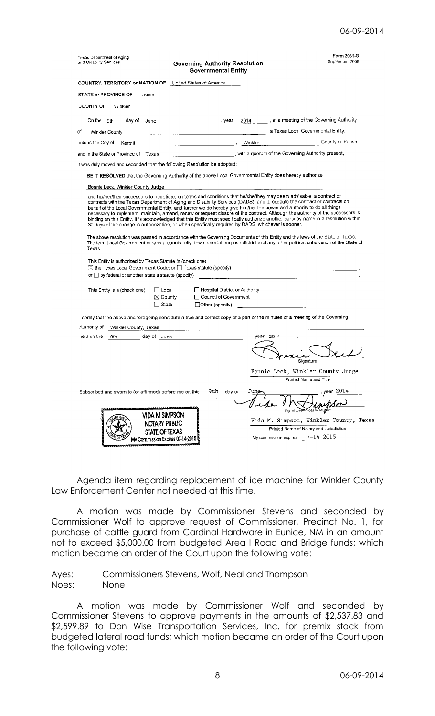| Texas Department of Aging<br>and Disability Services                                                                                                                                                                                                                                                                                                                | <b>Governing Authority Resolution</b><br><b>Governmental Entity</b>                          |           | Form 2031-G<br>September 2009                                                                                                                                                                                                                                                                                                                                                                                                                                                                                                                                                                                                                                             |
|---------------------------------------------------------------------------------------------------------------------------------------------------------------------------------------------------------------------------------------------------------------------------------------------------------------------------------------------------------------------|----------------------------------------------------------------------------------------------|-----------|---------------------------------------------------------------------------------------------------------------------------------------------------------------------------------------------------------------------------------------------------------------------------------------------------------------------------------------------------------------------------------------------------------------------------------------------------------------------------------------------------------------------------------------------------------------------------------------------------------------------------------------------------------------------------|
| COUNTRY, TERRITORY or NATION OF United States of America                                                                                                                                                                                                                                                                                                            |                                                                                              |           |                                                                                                                                                                                                                                                                                                                                                                                                                                                                                                                                                                                                                                                                           |
| STATE or PROVINCE OF Fexas in the state of the state of the state of the state of the state of the state of th                                                                                                                                                                                                                                                      |                                                                                              |           |                                                                                                                                                                                                                                                                                                                                                                                                                                                                                                                                                                                                                                                                           |
| <b>COUNTY OF</b><br>Winkler                                                                                                                                                                                                                                                                                                                                         |                                                                                              |           |                                                                                                                                                                                                                                                                                                                                                                                                                                                                                                                                                                                                                                                                           |
| On the 9th                                                                                                                                                                                                                                                                                                                                                          |                                                                                              |           |                                                                                                                                                                                                                                                                                                                                                                                                                                                                                                                                                                                                                                                                           |
| of<br>Winkler County                                                                                                                                                                                                                                                                                                                                                |                                                                                              |           | a Texas Local Governmental Entity,                                                                                                                                                                                                                                                                                                                                                                                                                                                                                                                                                                                                                                        |
| held in the City of Kermit Karming and Contact Terming and Minkler Minkler Minkler Minkler Minkler Minkler Minkler Minkler Minkler Minkler Minkler Minkler Minkler Minkler Minkler Minkler Minkler Minkler Minkler Minkler Min                                                                                                                                      |                                                                                              |           | <b>County or Parish,</b>                                                                                                                                                                                                                                                                                                                                                                                                                                                                                                                                                                                                                                                  |
| and in the State or Province of Texas ________________________________, with a quorum of the Governing Authority present,                                                                                                                                                                                                                                           |                                                                                              |           |                                                                                                                                                                                                                                                                                                                                                                                                                                                                                                                                                                                                                                                                           |
| it was duly moved and seconded that the following Resolution be adopted:                                                                                                                                                                                                                                                                                            |                                                                                              |           |                                                                                                                                                                                                                                                                                                                                                                                                                                                                                                                                                                                                                                                                           |
| BE IT RESOLVED that the Governing Authority of the above Local Governmental Entity does hereby authorize                                                                                                                                                                                                                                                            |                                                                                              |           |                                                                                                                                                                                                                                                                                                                                                                                                                                                                                                                                                                                                                                                                           |
| Bonnie Leck, Winkler County Judge                                                                                                                                                                                                                                                                                                                                   |                                                                                              |           |                                                                                                                                                                                                                                                                                                                                                                                                                                                                                                                                                                                                                                                                           |
| behalf of the Local Governmental Entity, and further we do hereby give him/her the power and authority to do all things<br>30 days of the change in authorization, or when specifically required by DADS, whichever is sooner.<br>Texas.<br>This Entity is authorized by Texas Statute in (check one):<br>or $\Box$ by federal or another state's statute (specify) |                                                                                              |           | contracts with the Texas Department of Aging and Disability Services (DADS), and to execute the contract or contracts on<br>necessary to implement, maintain, amend, renew or request closure of the contract. Although the authority of the successors is<br>binding on this Entity, it is acknowledged that this Entity must specifically authorize another party by name in a resolution within<br>The above resolution was passed in accordance with the Governing Documents of this Entity and the laws of the State of Texas.<br>The term Local Government means a county, city, town, special purpose district and any other political subdivision of the State of |
| This Entity is a (check one)<br>l⊺ Local I                                                                                                                                                                                                                                                                                                                          | □ Hospital District or Authority                                                             |           |                                                                                                                                                                                                                                                                                                                                                                                                                                                                                                                                                                                                                                                                           |
| $\boxtimes$ County                                                                                                                                                                                                                                                                                                                                                  | $\Box$ Council of Government                                                                 |           |                                                                                                                                                                                                                                                                                                                                                                                                                                                                                                                                                                                                                                                                           |
| $\Box$ State                                                                                                                                                                                                                                                                                                                                                        | $\Box$ Other (specify)                                                                       |           |                                                                                                                                                                                                                                                                                                                                                                                                                                                                                                                                                                                                                                                                           |
| I certify that the above and foregoing constitute a true and correct copy of a part of the minutes of a meeting of the Governing<br>Authority of<br>Winkler County, Texas<br>held on the<br>9th                                                                                                                                                                     | the control of the control of the control of the<br>day of June <u>_____________________</u> | vear 2014 | Signature                                                                                                                                                                                                                                                                                                                                                                                                                                                                                                                                                                                                                                                                 |
|                                                                                                                                                                                                                                                                                                                                                                     |                                                                                              |           | Bonnie Leck, Winkler County Judge                                                                                                                                                                                                                                                                                                                                                                                                                                                                                                                                                                                                                                         |
|                                                                                                                                                                                                                                                                                                                                                                     |                                                                                              |           | Printed Name and Title                                                                                                                                                                                                                                                                                                                                                                                                                                                                                                                                                                                                                                                    |
| Subscribed and sworn to (or affirmed) before me on this<br><b>VIDA M SIMPSON</b>                                                                                                                                                                                                                                                                                    | 9th day of                                                                                   | June      | year $2012$                                                                                                                                                                                                                                                                                                                                                                                                                                                                                                                                                                                                                                                               |

Agenda item regarding replacement of ice machine for Winkler County Law Enforcement Center not needed at this time.

A motion was made by Commissioner Stevens and seconded by Commissioner Wolf to approve request of Commissioner, Precinct No. 1, for purchase of cattle guard from Cardinal Hardware in Eunice, NM in an amount not to exceed \$5,000.00 from budgeted Area I Road and Bridge funds; which motion became an order of the Court upon the following vote:

Ayes: Commissioners Stevens, Wolf, Neal and Thompson Noes: None

A motion was made by Commissioner Wolf and seconded by Commissioner Stevens to approve payments in the amounts of \$2,537.83 and \$2,599.89 to Don Wise Transportation Services, Inc. for premix stock from budgeted lateral road funds; which motion became an order of the Court upon the following vote: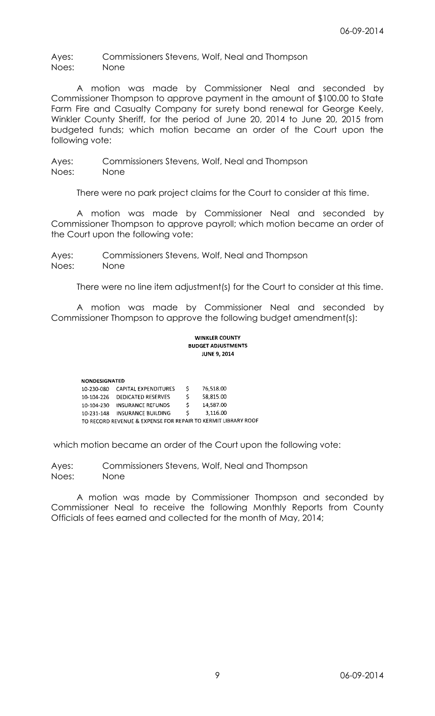Ayes: Commissioners Stevens, Wolf, Neal and Thompson Noes: None

A motion was made by Commissioner Neal and seconded by Commissioner Thompson to approve payment in the amount of \$100.00 to State Farm Fire and Casualty Company for surety bond renewal for George Keely, Winkler County Sheriff, for the period of June 20, 2014 to June 20, 2015 from budgeted funds; which motion became an order of the Court upon the following vote:

Ayes: Commissioners Stevens, Wolf, Neal and Thompson Noes: None

There were no park project claims for the Court to consider at this time.

A motion was made by Commissioner Neal and seconded by Commissioner Thompson to approve payroll; which motion became an order of the Court upon the following vote:

Ayes: Commissioners Stevens, Wolf, Neal and Thompson Noes: None

There were no line item adjustment(s) for the Court to consider at this time.

A motion was made by Commissioner Neal and seconded by Commissioner Thompson to approve the following budget amendment(s):

#### **WINKLER COUNTY BUDGET ADJUSTMENTS JUNE 9, 2014**

| <b>NONDESIGNATED</b> |                                                               |    |           |  |
|----------------------|---------------------------------------------------------------|----|-----------|--|
| 10-230-080           | CAPITAL EXPENDITURES                                          | S  | 76.518.00 |  |
| 10-104-226           | DEDICATED RESERVES                                            | ς. | 58.815.00 |  |
| 10-104-230           | <b>INSURANCE REFUNDS</b>                                      | S. | 14,587.00 |  |
| 10-231-148           | INSURANCE BUILDING                                            | S  | 3.116.00  |  |
|                      | TO RECORD REVENUE & EXPENSE FOR REPAIR TO KERMIT LIBRARY ROOF |    |           |  |

which motion became an order of the Court upon the following vote:

Ayes: Commissioners Stevens, Wolf, Neal and Thompson Noes: None

A motion was made by Commissioner Thompson and seconded by Commissioner Neal to receive the following Monthly Reports from County Officials of fees earned and collected for the month of May, 2014;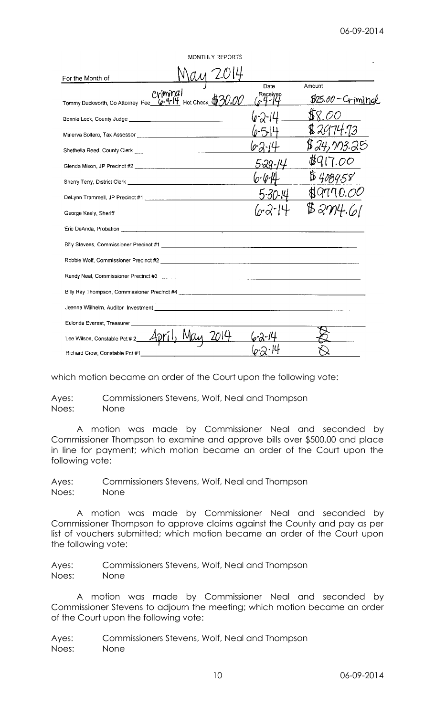| <b>MONTHLY REPORTS</b>                                                                                         |          |                    |
|----------------------------------------------------------------------------------------------------------------|----------|--------------------|
| For the Month of                                                                                               |          |                    |
|                                                                                                                | Date     | Amount             |
| Tommy Duckworth, Co Attorney Fee <u>(c+4-14</u> Hot Check                                                      | Received | \$25.00 - Criminal |
|                                                                                                                |          |                    |
|                                                                                                                |          | \$2974.73          |
|                                                                                                                |          |                    |
|                                                                                                                |          |                    |
|                                                                                                                |          |                    |
| DeLynn Trammell, JP Precinct #1 [2010] [2010] [2010] [2010] [2010] [2010] [2010] [2010] [2010] [2010] [2010] [ | 5-30-14  |                    |
| George Keely, Sheriff <b>Example 2018</b>                                                                      |          |                    |
|                                                                                                                |          |                    |
|                                                                                                                |          |                    |
|                                                                                                                |          |                    |
|                                                                                                                |          |                    |
|                                                                                                                |          |                    |
|                                                                                                                |          |                    |
| Eulonda Everest, Treasurer                                                                                     |          |                    |
| Lee Wilson, Constable Pct #2                                                                                   |          |                    |
| Richard Crow, Constable Pct #1                                                                                 |          |                    |

which motion became an order of the Court upon the following vote:

Ayes: Commissioners Stevens, Wolf, Neal and Thompson Noes: None

A motion was made by Commissioner Neal and seconded by Commissioner Thompson to examine and approve bills over \$500.00 and place in line for payment; which motion became an order of the Court upon the following vote:

Ayes: Commissioners Stevens, Wolf, Neal and Thompson Noes: None

A motion was made by Commissioner Neal and seconded by Commissioner Thompson to approve claims against the County and pay as per list of vouchers submitted; which motion became an order of the Court upon the following vote:

Ayes: Commissioners Stevens, Wolf, Neal and Thompson Noes: None

A motion was made by Commissioner Neal and seconded by Commissioner Stevens to adjourn the meeting; which motion became an order of the Court upon the following vote:

Ayes: Commissioners Stevens, Wolf, Neal and Thompson Noes: None